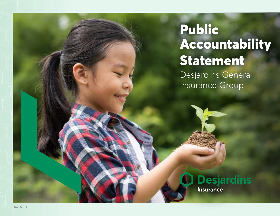# Public Accountability Statement

Desjardins General Insurance Group

# **Desjardins** Insurance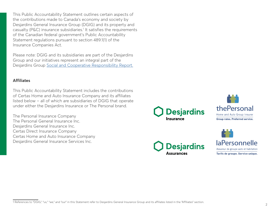This Public Accountability Statement outlines certain aspects of the contributions made to Canada's economy and society by Desjardins General Insurance Group (DGIG) and its property and casualty (P&C) insurance subsidiaries.<sup>1</sup> It satisfies the requirements of the Canadian federal government's Public Accountability Statement regulations pursuant to section 489.1(1) of the Insurance Companies Act.

Please note: DGIG and its subsidiaries are part of the Desjardins Group and our initiatives represent an integral part of the Desjardins Group [Social and Cooperative Responsibility Report.](https://www.desjardins.com/ressources/pdf/d50-rapport-sociale-2021-e.pdf?resVer=1648157215000)

### **Affiliates**

This Public Accountability Statement includes the contributions of Certas Home and Auto Insurance Company and its affiliates listed below – all of which are subsidiaries of DGIG that operate under either the Desjardins Insurance or The Personal brand.

The Personal Insurance Company The Personal General Insurance Inc. Desjardins General Insurance Inc. Certas Direct Insurance Company Certas Home and Auto Insurance Company Desjardins General Insurance Services Inc.









<sup>1</sup> References to "DGIG," "us," "we," and "our" in this Statement refer to Desjardins General Insurance Group and its affiliates listed in the "Affiliates" section.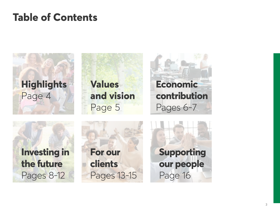# **Table of Contents**

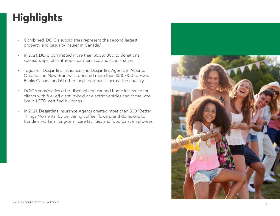# <span id="page-3-0"></span>**Highlights**

- Combined, DGIG's subsidiaries represent the second largest property and casualty insurer in Canada.2
- In 2021, DGIG committed more than \$5,387,000 to donations, sponsorships, philanthropic partnerships and scholarships.
- Together, Desjardins Insurance and Desjardins Agents in Alberta, Ontario and New Brunswick donated more than \$510,000 to Food Banks Canada and 61 other local food banks across the country.
- DGIG's subsidiaries offer discounts on car and home insurance for clients with fuel-efficient, hybrid or electric vehicles and those who live in LEED-certified buildings.
- In 2021, Desjardins Insurance Agents created more than 500 "Better Things Moments" by delivering coffee, flowers, and donations to frontline workers, long-term care facilities and food bank employees.



<sup>2 2021</sup> Desjardins Investor Fact Sheet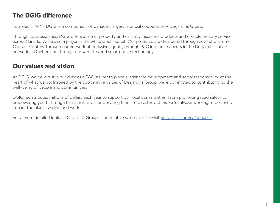# **The DGIG difference**

Founded in 1944, DGIG is a component of Canada's largest financial cooperative – Desjardins Group.

Through its subsidiaries, DGIG offers a line of property and casualty insurance products and complementary services across Canada. We're also a player in the white label market. Our products are distributed through several Customer Contact Centres, through our network of exclusive agents, through P&C insurance agents in the Desjardins caisse network in Quebec and through our websites and smartphone technology.

# **Our values and vision**

At DGIG, we believe it is our duty as a P&C insurer to place sustainable development and social responsibility at the heart of what we do. Inspired by the cooperative values of Desjardins Group, we're committed to contributing to the well-being of people and communities.

DGIG redistributes millions of dollars each year to support our local communities. From promoting road safety to empowering youth through health initiatives or donating funds to disaster victims, we're always working to positively impact the places we live and work.

For a more detailed look at Desjardins Group's cooperative values, please visit [desjardins.com/ca/about-us](http://www.desjardins.com/ca/about-us).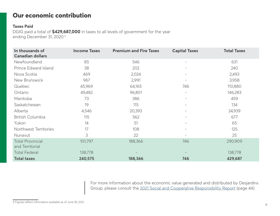# **Our economic contribution**

## **Taxes Paid**

DGIG paid a total of **\$429,687,000** in taxes to all levels of government for the year ending December 31, 2020.3

| In thousands of<br><b>Canadian dollars</b> | <b>Income Taxes</b> | <b>Premium and Fire Taxes</b> | <b>Capital Taxes</b>     | <b>Total Taxes</b> |
|--------------------------------------------|---------------------|-------------------------------|--------------------------|--------------------|
| Newfoundland                               | 85                  | 546                           | $\overline{\phantom{m}}$ | 631                |
| Prince Edward Island                       | 38                  | 202                           |                          | 240                |
| Nova Scotia                                | 469                 | 2,024                         | $\qquad \qquad -$        | 2,493              |
| New Brunswick                              | 967                 | 2,991                         |                          | 3,958              |
| Quebec                                     | 45,969              | 64,165                        | 746                      | 110,880            |
| Ontario                                    | 49,482              | 96,801                        | $\overline{\phantom{a}}$ | 146,283            |
| Manitoba                                   | 73                  | 386                           | $\overline{\phantom{a}}$ | 459                |
| Saskatchewan                               | 19                  | 115                           | $\overline{\phantom{0}}$ | 134                |
| Alberta                                    | 4,546               | 20,393                        | $\qquad \qquad -$        | 24,939             |
| British Columbia                           | 115                 | 562                           | $\overline{a}$           | 677                |
| Yukon                                      | 14                  | 51                            | $\overline{\phantom{0}}$ | 65                 |
| Northwest Territories                      | 17                  | 108                           | $\overline{a}$           | 125                |
| Nunavut                                    | 3                   | 22                            | $\overline{\phantom{0}}$ | 25                 |
| <b>Total Provincial</b><br>and Territorial | 101,797             | 188,366                       | 746                      | 290,909            |
| <b>Total Federal</b>                       | 138,778             |                               |                          | 138,778            |
| <b>Total taxes</b>                         | 240,575             | 188,366                       | 746                      | 429,687            |

For more information about the economic value generated and distributed by Desjardins Group, please consult the [2021 Social and Cooperative Responsibility Report \(page 44\).](https://www.desjardins.com/ressources/pdf/d50-rapport-sociale-2021-e.pdf?resVer=1648157215000)

<sup>3</sup> Figures reflect information available as of June 18, 2021.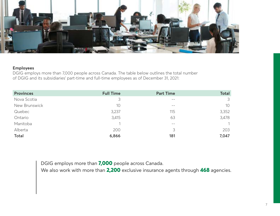

## **Employees**

DGIG employs more than 7,000 people across Canada. The table below outlines the total number of DGIG and its subsidiaries' part-time and full-time employees as of December 31, 2021:

| <b>Provinces</b> | <b>Full Time</b> | <b>Part Time</b> | <b>Total</b> |
|------------------|------------------|------------------|--------------|
| Nova Scotia      | 3                | $- -$            | 3            |
| New Brunswick    | 10               | $- -$            | 10           |
| Quebec           | 3,237            | 115              | 3,352        |
| Ontario          | 3,415            | 63               | 3,478        |
| Manitoba         |                  | $ -$             |              |
| Alberta          | 200              | 3                | 203          |
| <b>Total</b>     | 6,866            | 181              | 7,047        |

DGIG employs more than **7,000** people across Canada.

We also work with more than **2,200** exclusive insurance agents through **468** agencies.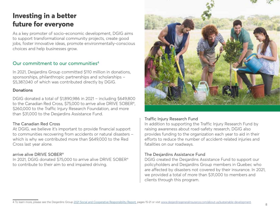# **Investing in a better future for everyone**

As a key promoter of socio-economic development, DGIG aims to support transformational community projects, create good jobs, foster innovative ideas, promote environmentally-conscious choices and help businesses grow.

# Our commitment to our communities4

In 2021, Desjardins Group committed \$110 million in donations, sponsorships, philanthropic partnerships and scholarships - \$5,387,040 of which was contributed directly by DGIG.

## **Donations**

DGIG donated a total of \$1,890,986 in 2021 – including \$649,800 to the Canadian Red Cross, \$75,000 to arrive alive DRIVE SOBER®, \$260,000 to the Traffic Injury Research Foundation, and more than \$31,000 to the Desjardins Assistance Fund.

# The Canadian Red Cross

At DGIG, we believe it's important to provide financial support to communities recovering from accidents or natural disasters which is why we contributed more than \$649,000 to the Red Cross last year alone.

# arrive alive DRIVE SOBER®

In 2021, DGIG donated \$75,000 to arrive alive DRIVE SOBER® to contribute to their aim to end impaired driving.



# Traffic Injury Research Fund

In addition to supporting the Traffic Injury Research Fund by raising awareness about road-safety research, DGIG also provides funding to the organization each year to aid in their efforts to reduce the number of accident-related injuries and fatalities on our roadways.

# The Desjardins Assistance Fund

DGIG created the Desjardins Assistance Fund to support our policyholders and Desjardins Group members in Quebec who are affected by disasters not covered by their insurance. In 2021, we provided a total of more than \$31,000 to members and clients through this program.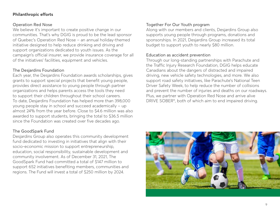# **Philanthropic efforts**

## Operation Red Nose

We believe it's important to create positive change in our communities. That's why DGIG is proud to be the lead sponsor of Quebec's Operation Red Nose – an annual holiday-themed initiative designed to help reduce drinking and driving and support organizations dedicated to youth issues. As the campaign's official insurer, we provide insurance coverage for all of the initiatives' facilities, equipment and vehicles.

# The Desjardins Foundation

Each year, the Desjardins Foundation awards scholarships, gives grants to support special projects that benefit young people, provides direct assistance to young people through partner organizations and helps parents access the tools they need to support their children throughout their school careers. To date, Desjardins Foundation has helped more than 398,000 young people stay in school and succeed academically - up almost 24% from the year before. Close to \$4.6 million was also awarded to support students, bringing the total to \$36.5 million since the Foundation was created over five decades ago.

# The GoodSpark Fund

Desjardins Group also operates this community development fund dedicated to investing in initiatives that align with their socio-economic mission to support entrepreneurship, education, social responsibility, sustainable development and community involvement. As of December 31, 2021, The GoodSpark Fund had committed a total of \$147 million to support 652 initiatives benefiting members, communities and regions. The Fund will invest a total of \$250 million by 2024.

# Together For Our Youth program

Along with our members and clients, Desjardins Group also supports young people through programs, donations and sponsorships. In 2021, Desjardins Group increased its total budget to support youth to nearly \$80 million.

## Education as accident prevention

Through our long-standing partnerships with Parachute and the Traffic Injury Research Foundation, DGIG helps educate Canadians about the dangers of distracted and impaired driving, new vehicle safety technologies, and more. We also support road safety initiatives, like Parachute's National Teen Driver Safety Week, to help reduce the number of collisions and prevent the number of injuries and deaths on our roadways. Plus, we partner with Operation Red Nose and arrive alive DRIVE SOBER®, both of which aim to end impaired driving.

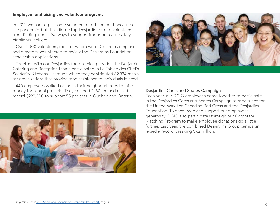### **Employee fundraising and volunteer programs**

In 2021, we had to put some volunteer efforts on hold because of the pandemic, but that didn't stop Desjardins Group volunteers from finding innovative ways to support important causes. Key highlights include:

- Over 1,000 volunteers, most of whom were Desjardins employees and directors, volunteered to review the Desjardins Foundation scholarship applications.

- Together with our Desjardins food service provider, the Desjardins Catering and Reception teams participated in La Tablée des Chef's Solidarity Kitchens - through which they contributed 82,334 meals for organizations that provide food assistance to individuals in need.

- 440 employees walked or ran in their neighbourhoods to raise money for school projects. They covered 2,130 km and raised a record \$223,000 to support 55 projects in Quebec and Ontario.<sup>5</sup>





### Desjardins Cares and Shares Campaign

Each year, our DGIG employees come together to participate in the Desjardins Cares and Shares Campaign to raise funds for the United Way, the Canadian Red Cross and the Desjardins Foundation. To encourage and support our employees' generosity, DGIG also participates through our Corporate Matching Program to make employee donations go a little further. Last year, the combined Desjardins Group campaign raised a record-breaking \$7.2 million.

<sup>5</sup> [Desjardins Group 2021 Social and Cooperative Responsibility Report, page 18.](https://www.desjardins.com/ressources/pdf/d50-rapport-sociale-2021-e.pdf?resVer=1648157215000)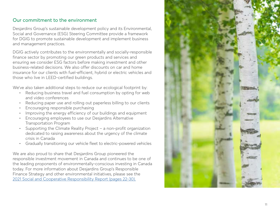# Our commitment to the environment

Desjardins Group's sustainable development policy and its Environmental, Social and Governance (ESG) Steering Committee provide a framework for DGIG to promote sustainable development and implement business and management practices.

DGIG actively contributes to the environmentally and socially-responsible finance sector by promoting our green products and services and ensuring we consider ESG factors before making investment and other business-related decisions. We also offer discounts on car and home insurance for our clients with fuel-efficient, hybrid or electric vehicles and those who live in LEED-certified buildings.

We've also taken additional steps to reduce our ecological footprint by: • Reducing business travel and fuel consumption by opting for web

- and video conferences
- Reducing paper use and rolling out paperless billing to our clients<br>Encouraging responsible purchasing<br>Improving the energy efficiency of our buildings and equipment<br>Encouraging employees to use our Desiardins Alternative
- 
- 
- Transportation Program
- Supporting the Climate Reality Project a non-profit organization dedicated to raising awareness about the urgency of the climate crisis in Canada
- Gradually transitioning our vehicle fleet to electric-powered vehicles

We are also proud to share that Desjardins Group pioneered the responsible investment movement in Canada and continues to be one of the leading proponents of environmentally-conscious investing in Canada today. For more information about Desjardins Group's Responsible Finance Strategy and other environmental initiatives, please see the [2021 Social and Cooperative Responsibility Report \(pages 22-30\).](https://www.desjardins.com/ressources/pdf/d50-rapport-sociale-2021-e.pdf?resVer=1648157215000)

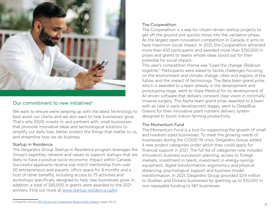

# Our commitment to new initiatives<sup>6</sup>

We want to ensure we're keeping up with the latest technology to best assist our clients and we also want to help businesses grow. That's why DGIG invests in, and partners with, small businesses that promote innovative ideas and technological solutions to simplify our daily lives, better protect the things that matter to us, and streamline how we do business.

#### Startup in Residence

The Desjardins Group Startup in Residence program leverages the Group's expertise, network and values to support startups that are likely to have a positive socio-economic impact within Canada. Successful applicants receive top-notch mentorship from over 50 entrepreneurs and experts, office space for 8 months and a host of other benefits, including access to 75 activities and workshops specifically designed to help new businesses grow. In addition, a total of \$45,000 in grants were awarded to the 2021 winners. Find out more at [www.startup-residence.ca/en.](https://www.startup-residence.ca/en.)

#### The Cooperathon

The Cooperathon is a way for citizen-driven startup projects to get off the ground and quickly move into the validation phase. As the largest open innovation competition in Canada, it aims to have maximum social impact. In 2021, the Cooperathon attracted more than 650 participants and awarded more than \$150,000 in prizes and grants to teams whose ideas stood out for their potential for social impact.

This year's competition theme was "Lead the change. (Re)boot together." Participants were asked to tackle challenges focusing on the environment and climate change, cities and regions of the future, and the impact of technology. The Beta team grand prize, which is awarded to a team already in the development and prototyping stage, went to Vope Medical for its development of AI-driven software that delivers constant clear vision in minimally invasive surgery. The Alpha team grand prize, awarded to a team with an idea in early development stages, went to DeepBlue Greens for their innovative plant nutrient delivery system designed to boost indoor farming productivity.

#### The Momentum Fund

The Momentum Fund is a tool for supporting the growth of small and medium-sized businesses. To meet the growing needs of businesses during the COVID-19 crisis, Desjardins Group added 4 new project categories under which they could apply for financial support in 2021. The full list of categories now includes: innovation, business succession planning, access to foreign markets, investment in talent, investment in energy-savings equipment, digital transformation, ergonomics and physical distancing, psychological support and business model transformation. In 2021, Desjardins Group provided \$3.9 million to Quebec and Ontario businesses by granting up to \$10,000 in non-repayable funding to 587 businesses.

<sup>6</sup> Desjardins Group [2021 Social and Cooperative Responsibility Report,](https://www.desjardins.com/ressources/pdf/d50-rapport-sociale-2021-e.pdf?resVer=1648157215000) pages 44-53.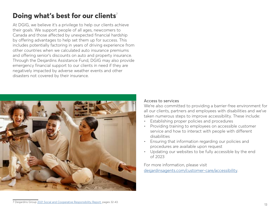# **Doing what's best for our clients**<sup>7</sup>

At DGIG, we believe it's a privilege to help our clients achieve their goals. We support people of all ages, newcomers to Canada and those affected by unexpected financial hardship by offering advantages to help set them up for success. This includes potentially factoring in years of driving experience from other countries when we calculated auto insurance premiums and offering senior's discounts on auto and property insurance. Through the Desjardins Assistance Fund, DGIG may also provide emergency financial support to our clients in need if they are negatively impacted by adverse weather events and other disasters not covered by their insurance.



#### Access to services

We're also committed to providing a barrier-free environment for all our clients, partners and employees with disabilities and we've taken numerous steps to improve accessibility. These include:

- Establishing proper policies and procedures
- Providing training to employees on accessible customer service and how to interact with people with different disabilities
- Ensuring that information regarding our policies and procedures are available upon request
- Updating our websites to be fully accessible by the end of 2023

For more information, please visit [desjardinsagents.com/customer-care/accessibility](https://www.desjardinsagents.com/customer-care/accessibility).

<sup>7</sup> Desjardins Group [2021 Social and Cooperative Responsibility Report](https://www.desjardins.com/ressources/pdf/d50-rapport-sociale-2021-e.pdf?resVer=1648157215000), pages 32-43.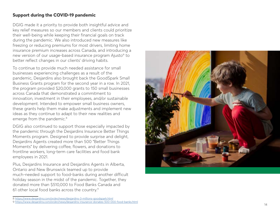# **Support during the COVID-19 pandemic**

DGIG made it a priority to provide both insightful advice and key relief measures so our members and clients could prioritize their well-being while keeping their financial goals on track during the pandemic. We also introduced new measures like freezing or reducing premiums for most drivers, limiting home insurance premium increases across Canada, and introducing a new version of our usage-based insurance program Ajusto ® to better reflect changes in our clients' driving habits.

To continue to provide much needed assistance for small businesses experiencing challenges as a result of the pandemic, Desjardins also brought back the GoodSpark Small Business Grants program for the second year in a row. In 2021, the program provided \$20,000 grants to 150 small businesses across Canada that demonstrated a commitment to innovation, investment in their employees, and/or sustainable development. Intended to empower small business owners, these grants help them make adjustments and implement new ideas as they continue to adapt to their new realities and emerge from the pandemic. 8

DGIG also continued to support those especially impacted by the pandemic through the Desjardins Insurance Better Things Moments program. Designed to provide surprise and delight, Desjardins Agents created more than 500 "Better Things Moments" by delivering coffee, flowers, and donations to frontline workers, long-term care facilities and food bank employees in 2021.

Plus, Desjardins Insurance and Desjardins Agents in Alberta, Ontario and New Brunswick teamed up to provide much-needed support to food-banks during another difficult holiday season in the midst of the pandemic. Together, they donated more than \$510,000 to Food Banks Canada and 61 other local food banks across the country. 9



<sup>8</sup> <https://www.desjardins.com/on/en/news/desjardins-3-millions-goodspark.html> 9 https://www.desjardins.com/on/en/news/desjardins-insurance-donates-500-000-food-banks.html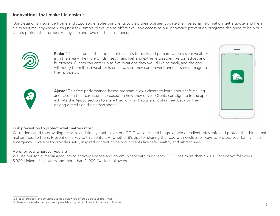# Innovations that make life easier<sup>10</sup>

Our Desjardins Insurance Home and Auto app enables our clients to view their policies, update their personal information, get a quote, and file a claim anytime, anywhere with just a few simple clicks. It also offers exclusive access to our innovative prevention programs designed to help our clients protect their property, stay safe and save on their insurance:



**Radar**™ This feature in the app enables clients to track and prepare when severe weather is in the area – like high-winds, heavy rain, hail, and extreme weather like tornadoes and hurricanes. Clients can enter up to five locations they would like to track, and the app will notify them if bad weather is on its way so they can prevent unnecessary damage to their property.





**Ajusto**® This free performance-based program allows clients to learn about safe driving and save on their car insurance based on how they drive.<sup>11</sup> Clients can sign up in the app, activate the Ajusto section to share their driving habits and obtain feedback on their driving directly on their smartphone.

#### Risk prevention to protect what matters most

We're dedicated to providing relevant and timely content on our DGIG websites and blogs to help our clients stay safe and protect the things that matter most to them. Prevention is key to this content – whether it's tips for sharing the road with cyclists, or ways to protect your family in an emergency – we aim to provide useful, inspired content to help our clients live safe, healthy and vibrant lives.

#### Here for you, wherever you are

We use our social media accounts to actively engage and communicate with our clients. DGIG has more than 45,000 Facebook® followers, 5,000 LinkedIn® followers and more than 21,000 Twitter® followers.

<sup>10</sup> Not all products and services outlined below are offered across all provinces.

<sup>11</sup> Please note Ajusto is only currently available to policyholders in Ontario and Quebec.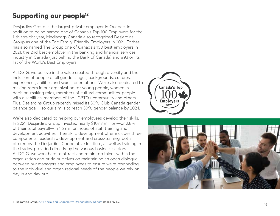# **Supporting our people12**

Desjardins Group is the largest private employer in Quebec. In addition to being named one of Canada's Top 100 Employers for the 11th straight year, Mediacorp Canada also recognized Desjardins Group as one of the Top Family-Friendly Employers in 2021. Forbes has also named The Group one of Canada's 100 best employers in 2021, the 2nd best employer in the banking and financial services industry in Canada (just behind the Bank of Canada) and #93 on its list of the World's Best Employers.

At DGIG, we believe in the value created through diversity and the inclusion of people of all genders, ages, backgrounds, cultures, experiences, abilities and sexual orientations. We're also dedicated to making room in our organization for young people, women in decision-making roles, members of cultural communities, people with disabilities, members of the LGBTQ+ community and others. Plus, Desjardins Group recently raised its 30% Club Canada gender balance goal – so our aim is to reach 50% gender balance by 2024.

We're also dedicated to helping our employees develop their skills. In 2021, Desjardins Group invested nearly \$107.3 million—or 2.8% of their total payroll—in 1.6 million hours of staff training and development activities. Their skills development offer includes three components: leadership development and cross-training, both offered by the Desjardins Cooperative Institute, as well as training in the trades, provided directly by the various business sectors. At DGIG, we work hard to attract and retain top talent within the organization and pride ourselves on maintaining an open dialogue between our managers and employees to ensure we're responding to the individual and organizational needs of the people we rely on day in and day out.





<sup>12</sup> Desjardins Group [2021 Social and Cooperative Responsibility Report](https://www.desjardins.com/ressources/pdf/d50-rapport-sociale-2021-e.pdf?resVer=1648157215000), pages 65-69.